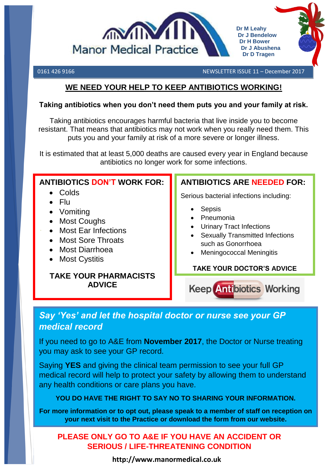

0161 426 9166 NEWSLETTER ISSUE 11 – December 2017

# <u>WE NEED YOUR HELP TO KEEP ANTIBIOTICS WORKING!</u>

### **Taking antibiotics when you don't need them puts you and your family at risk.**

Taking antibiotics encourages harmful bacteria that live inside you to become resistant. That means that antibiotics may not work when you really need them. This puts you and your family at risk of a more severe or longer illness.

It is estimated that at least 5,000 deaths are caused every year in England because antibiotics no longer work for some infections.

# **ANTIBIOTICS DON'T WORK FOR:**

- Colds
- $\bullet$  Flu
- Vomiting
- Most Coughs
- Most Ear Infections
- Most Sore Throats
- Most Diarrhoea
- Most Cystitis

# **TAKE YOUR PHARMACISTS ADVICE**

# **ANTIBIOTICS ARE NEEDED FOR:**

Serious bacterial infections including:

- Sepsis
- Pneumonia
- Urinary Tract Infections
- Sexually Transmitted Infections such as Gonorrhoea
- Meningococcal Meningitis

# **TAKE YOUR DOCTOR'S ADVICE**

**Keep Antibiotics Working** 

# *Say 'Yes' and let the hospital doctor or nurse see your GP medical record*

If you need to go to A&E from **November 2017**, the Doctor or Nurse treating you may ask to see your GP record.

Saying **YES** and giving the clinical team permission to see your full GP medical record will help to protect your safety by allowing them to understand any health conditions or care plans you have.

# **YOU DO HAVE THE RIGHT TO SAY NO TO SHARING YOUR INFORMATION.**

**For more information or to opt out, please speak to a member of staff on reception on your next visit to the Practice or download the form from our website.**

# **PLEASE ONLY GO TO A&E IF YOU HAVE AN ACCIDENT OR SERIOUS / LIFE-THREATENING CONDITION**

**http://www.manormedical.co.uk**